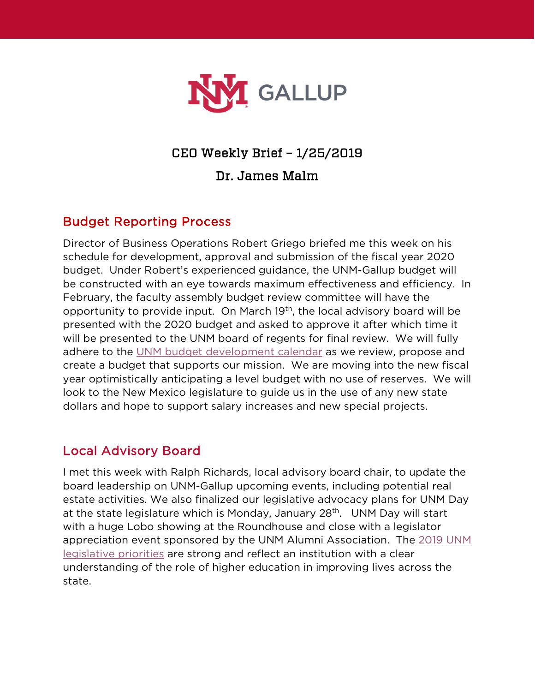

## CEO Weekly Brief – 1/25/2019

Dr. James Malm

## Budget Reporting Process

Director of Business Operations Robert Griego briefed me this week on his schedule for development, approval and submission of the fiscal year 2020 budget. Under Robert's experienced guidance, the UNM-Gallup budget will be constructed with an eye towards maximum effectiveness and efficiency. In February, the faculty assembly budget review committee will have the opportunity to provide input. On March 19th, the local advisory board will be presented with the 2020 budget and asked to approve it after which time it will be presented to the UNM board of regents for final review. We will fully adhere to the [UNM budget development calendar](http://budgetoffice.unm.edu/assets/documents/budget/budgetdevcalendarv2.pdf) as we review, propose and create a budget that supports our mission. We are moving into the new fiscal year optimistically anticipating a level budget with no use of reserves. We will look to the New Mexico legislature to guide us in the use of any new state dollars and hope to support salary increases and new special projects.

#### Local Advisory Board

I met this week with Ralph Richards, local advisory board chair, to update the board leadership on UNM-Gallup upcoming events, including potential real estate activities. We also finalized our legislative advocacy plans for UNM Day at the state legislature which is Monday, January 28<sup>th</sup>. UNM Day will start with a huge Lobo showing at the Roundhouse and close with a legislator appreciation event sponsored by the UNM Alumni Association. The [2019 UNM](https://govrel.unm.edu/legislative-sessions/2019/2019-legislative-priorities-brochure-online-2page.pdf)  [legislative priorities](https://govrel.unm.edu/legislative-sessions/2019/2019-legislative-priorities-brochure-online-2page.pdf) are strong and reflect an institution with a clear understanding of the role of higher education in improving lives across the state.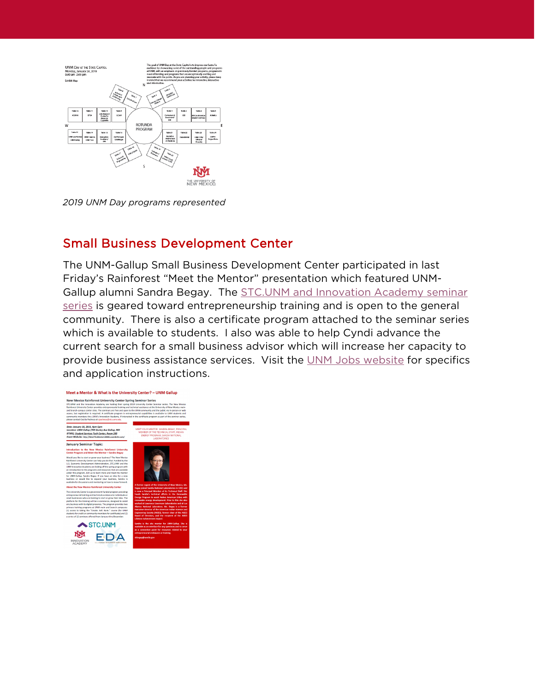

*2019 UNM Day programs represented*

#### Small Business Development Center

The UNM-Gallup Small Business Development Center participated in last Friday's Rainforest "Meet the Mentor" presentation which featured UNM-Gallup alumni Sandra Begay. The [STC.UNM and Innovation Academy seminar](https://stc.unm.edu/events/category/university-center/)  [series](https://stc.unm.edu/events/category/university-center/) is geared toward entrepreneurship training and is open to the general community. There is also a certificate program attached to the seminar series which is available to students. I also was able to help Cyndi advance the current search for a small business advisor which will increase her capacity to provide business assistance services. Visit the [UNM Jobs website](https://unm.csod.com/ats/careersite/search.aspx?site=13&c=unm) for specifics and application instructions.

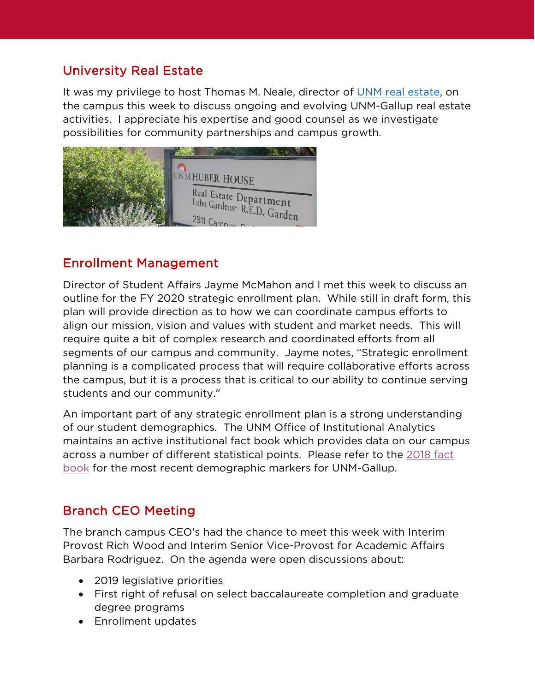# University Real Estate

It was my privilege to host Thomas M. Neale, director of [UNM real estate,](http://realestate.unm.edu/) on the campus this week to discuss ongoing and evolving UNM-Gallup real estate activities. I appreciate his expertise and good counsel as we investigate possibilities for community partnerships and campus growth.



#### Enrollment Management

Director of Student Affairs Jayme McMahon and I met this week to discuss an outline for the FY 2020 strategic enrollment plan. While still in draft form, this plan will provide direction as to how we can coordinate campus efforts to align our mission, vision and values with student and market needs. This will require quite a bit of complex research and coordinated efforts from all segments of our campus and community. Jayme notes, "Strategic enrollment planning is a complicated process that will require collaborative efforts across the campus, but it is a process that is critical to our ability to continue serving students and our community."

An important part of any strategic enrollment plan is a strong understanding of our student demographics. The UNM Office of Institutional Analytics maintains an active institutional fact book which provides data on our campus across a number of different statistical points. Please refer to the [2018 fact](https://oia.unm.edu/facts-and-figures/oer-fall-2018.pdf)  [book](https://oia.unm.edu/facts-and-figures/oer-fall-2018.pdf) for the most recent demographic markers for UNM-Gallup.

# Branch CEO Meeting

The branch campus CEO's had the chance to meet this week with Interim Provost Rich Wood and Interim Senior Vice-Provost for Academic Affairs Barbara Rodriguez. On the agenda were open discussions about:

- 2019 legislative priorities
- First right of refusal on select baccalaureate completion and graduate degree programs
- Enrollment updates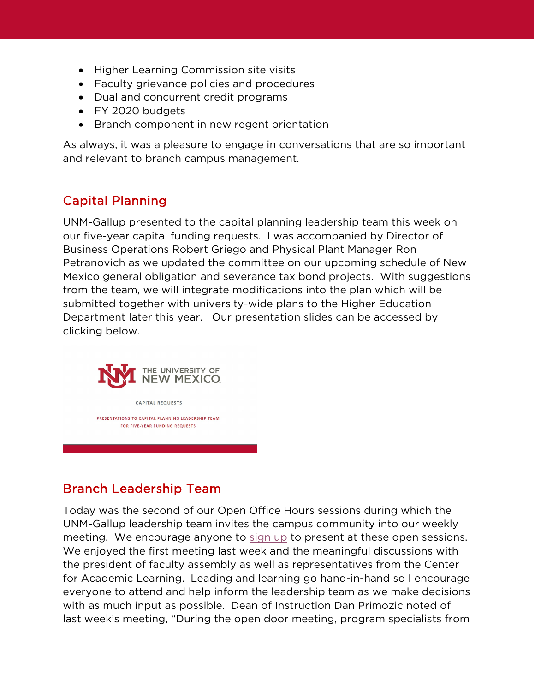- Higher Learning Commission site visits
- Faculty grievance policies and procedures
- Dual and concurrent credit programs
- FY 2020 budgets
- Branch component in new regent orientation

As always, it was a pleasure to engage in conversations that are so important and relevant to branch campus management.

# Capital Planning

UNM-Gallup presented to the capital planning leadership team this week on our five-year capital funding requests. I was accompanied by Director of Business Operations Robert Griego and Physical Plant Manager Ron Petranovich as we updated the committee on our upcoming schedule of New Mexico general obligation and severance tax bond projects. With suggestions from the team, we will integrate modifications into the plan which will be submitted together with university-wide plans to the Higher Education Department later this year. Our presentation slides can be accessed by clicking below.



# Branch Leadership Team

Today was the second of our Open Office Hours sessions during which the UNM-Gallup leadership team invites the campus community into our weekly meeting. We encourage anyone to [sign up](https://gallup.unm.edu/ceo/openofficehours/) to present at these open sessions. We enjoyed the first meeting last week and the meaningful discussions with the president of faculty assembly as well as representatives from the Center for Academic Learning. Leading and learning go hand-in-hand so I encourage everyone to attend and help inform the leadership team as we make decisions with as much input as possible. Dean of Instruction Dan Primozic noted of last week's meeting, "During the open door meeting, program specialists from